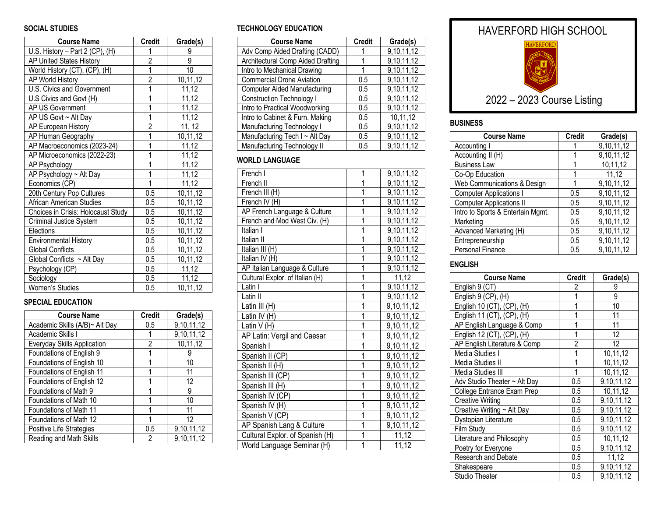# **SOCIAL STUDIES**

| <b>Course Name</b>                 | <b>Credit</b>             | Grade(s) |
|------------------------------------|---------------------------|----------|
| U.S. History - Part 2 (CP), (H)    | 1                         | 9        |
| AP United States History           | $\overline{2}$            | 9        |
| World History (CT), (CP), (H)      | $\overline{\mathfrak{1}}$ | 10       |
| AP World History                   | $\overline{2}$            | 10,11,12 |
| U.S. Civics and Government         | $\overline{1}$            | 11,12    |
| U.S Civics and Govt (H)            | 1                         | 11,12    |
| AP US Government                   | $\overline{1}$            | 11,12    |
| AP US Govt ~ Alt Day               | 1                         | 11,12    |
| AP European History                | $\overline{2}$            | 11, 12   |
| AP Human Geography                 | $\overline{1}$            | 10,11,12 |
| AP Macroeconomics (2023-24)        | $\overline{1}$            | 11,12    |
| AP Microeconomics (2022-23)        | 1                         | 11,12    |
| AP Psychology                      | 1                         | 11,12    |
| AP Psychology ~ Alt Day            | 1                         | 11,12    |
| Economics (CP)                     | 1                         | 11,12    |
| 20th Century Pop Cultures          | 0.5                       | 10,11,12 |
| African American Studies           | 0.5                       | 10,11,12 |
| Choices in Crisis: Holocaust Study | 0.5                       | 10,11,12 |
| Criminal Justice System            | 0.5                       | 10,11,12 |
| Elections                          | 0.5                       | 10,11,12 |
| <b>Environmental History</b>       | 0.5                       | 10,11,12 |
| <b>Global Conflicts</b>            | 0.5                       | 10,11,12 |
| Global Conflicts $\sim$ Alt Day    | $0.5\,$                   | 10,11,12 |
| Psychology (CP)                    | 0.5                       | 11,12    |
| Sociology                          | 0.5                       | 11,12    |
| Women's Studies                    | 0.5                       | 10,11,12 |

#### **SPECIAL EDUCATION**

| <b>Course Name</b>             | <b>Credit</b> | Grade(s)   |
|--------------------------------|---------------|------------|
| Academic Skills (A/B)~ Alt Day | 0.5           | 9,10,11,12 |
| Academic Skills I              |               | 9,10,11,12 |
| Everyday Skills Application    | 2             | 10,11,12   |
| Foundations of English 9       |               |            |
| Foundations of English 10      |               | 10         |
| Foundations of English 11      |               | 11         |
| Foundations of English 12      |               | 12         |
| Foundations of Math 9          |               | 9          |
| Foundations of Math 10         | 1             | 10         |
| Foundations of Math 11         |               | 11         |
| Foundations of Math 12         |               | 12         |
| Positive Life Strategies       | 0.5           | 9,10,11,12 |
| Reading and Math Skills        | 2             | 9,10,11,12 |

#### **TECHNOLOGY EDUCATION**

| <b>Course Name</b>                  | <b>Credit</b> | Grade(s)   |
|-------------------------------------|---------------|------------|
| Adv Comp Aided Drafting (CADD)      |               | 9,10,11,12 |
| Architectural Comp Aided Drafting   |               | 9,10,11,12 |
| Intro to Mechanical Drawing         |               | 9,10,11,12 |
| <b>Commercial Drone Aviation</b>    | 0.5           | 9,10,11,12 |
| <b>Computer Aided Manufacturing</b> | 0.5           | 9,10,11,12 |
| <b>Construction Technology I</b>    | 0.5           | 9,10,11,12 |
| Intro to Practical Woodworking      | 0.5           | 9,10,11,12 |
| Intro to Cabinet & Furn. Making     | 0.5           | 10,11,12   |
| Manufacturing Technology I          | 0.5           | 9,10,11,12 |
| Manufacturing Tech I ~ Alt Day      | 0.5           | 9,10,11,12 |
| Manufacturing Technology II         | 0.5           | 9,10,11,12 |

# **WORLD LANGUAGE**

| French I                              | 1                       | 9, 10, 11, 12 |
|---------------------------------------|-------------------------|---------------|
| French II                             | $\overline{1}$          | 9,10,11,12    |
| $\overline{\mathsf{F}}$ rench III (H) | 1                       | 9,10,11,12    |
| French IV (H)                         | $\overline{1}$          | 9,10,11,12    |
| AP French Language & Culture          | 1                       | 9,10,11,12    |
| French and Mod West Civ. (H)          | $\overline{1}$          | 9,10,11,12    |
| Italian I                             | 1                       | 9,10,11,12    |
| Italian II                            | $\overline{1}$          | 9,10,11,12    |
| Italian III (H)                       | $\overline{1}$          | 9,10,11,12    |
| Italian IV (H)                        | $\overline{1}$          | 9, 10, 11, 12 |
| AP Italian Language & Culture         | $\overline{1}$          | 9,10,11,12    |
| Cultural Explor. of Italian (H)       | $\overline{1}$          | 11,12         |
| Latin I                               | $\overline{1}$          | 9,10,11,12    |
| Latin II                              | $\overline{1}$          | 9, 10, 11, 12 |
| Latin III (H)                         | $\overline{1}$          | 9,10,11,12    |
| Latin IV (H)                          | $\overline{1}$          | 9,10,11,12    |
| Latin $V(H)$                          | $\overline{1}$          | 9,10,11,12    |
| AP Latin: Vergil and Caesar           | $\overline{1}$          | 9,10,11,12    |
| Spanish I                             | $\overline{1}$          | 9,10,11,12    |
| Spanish II (CP)                       | $\overline{1}$          | 9,10,11,12    |
| Spanish II (H)                        | $\overline{1}$          | 9,10,11,12    |
| Spanish III (CP)                      | $\overline{1}$          | 9,10,11,12    |
| Spanish III (H)                       | $\overline{1}$          | 9,10,11,12    |
| Spanish IV (CP)                       | $\overline{\mathbf{1}}$ | 9,10,11,12    |
| Spanish IV (H)                        | $\overline{1}$          | 9,10,11,12    |
| Spanish V (CP)                        | $\overline{1}$          | 9,10,11,12    |
| AP Spanish Lang & Culture             | $\overline{1}$          | 9,10,11,12    |
| Cultural Explor. of Spanish (H)       | $\overline{1}$          | 11,12         |
| World Language Seminar (H)            | 1                       | 11,12         |

# HAVERFORD HIGH SCHOOL



# 202 2 – 20 2 3 Course Listing

#### **BUSINESS**

| <b>Course Name</b>                | <b>Credit</b> | Grade(s)   |
|-----------------------------------|---------------|------------|
| Accounting I                      |               | 9,10,11,12 |
| Accounting II (H)                 |               | 9,10,11,12 |
| <b>Business Law</b>               |               | 10,11,12   |
| Co-Op Education                   |               | 11,12      |
| Web Communications & Design       |               | 9,10,11,12 |
| <b>Computer Applications I</b>    | 0.5           | 9,10,11,12 |
| <b>Computer Applications II</b>   | 0.5           | 9,10,11,12 |
| Intro to Sports & Entertain Mgmt. | 0.5           | 9,10,11,12 |
| Marketing                         | 0.5           | 9,10,11,12 |
| Advanced Marketing (H)            | 0.5           | 9,10,11,12 |
| Entrepreneurship                  | 0.5           | 9,10,11,12 |
| Personal Finance                  | 0.5           | 9,10,11,12 |

#### **ENGLISH**

| <b>Course Name</b>                | <b>Credit</b>  | Grade(s)   |
|-----------------------------------|----------------|------------|
| English 9 (CT)                    | 2              | 9          |
| English 9 (CP), (H)               |                | 9          |
| English 10 (CT), (CP), (H)        |                | 10         |
| English 11 (CT), (CP), (H)        | 1              | 11         |
| AP English Language & Comp        | 1              | 11         |
| English 12 (CT), (CP), (H)        | 1              | 12         |
| AP English Literature & Comp      | 2              | 12         |
| Media Studies I                   | 1              | 10,11,12   |
| Media Studies II                  | $\overline{1}$ | 10,11,12   |
| Media Studies III                 | 1              | 10,11,12   |
| Adv Studio Theater $\sim$ Alt Day | 0.5            | 9,10,11,12 |
| College Entrance Exam Prep        | 0.5            | 10,11,12   |
| <b>Creative Writing</b>           | 0.5            | 9,10,11,12 |
| Creative Writing ~ Alt Day        | 0.5            | 9,10,11,12 |
| Dystopian Literature              | 0.5            | 9,10,11,12 |
| Film Study                        | 0.5            | 9,10,11,12 |
| Literature and Philosophy         | 0.5            | 10,11,12   |
| Poetry for Everyone               | 0.5            | 9,10,11,12 |
| Research and Debate               | 0.5            | 11,12      |
| Shakespeare                       | 0.5            | 9,10,11,12 |
| <b>Studio Theater</b>             | 0.5            | 9,10,11,12 |